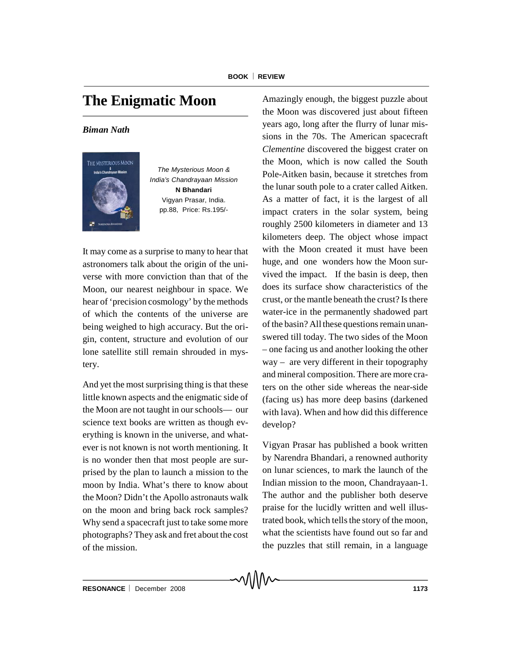## **The Enigmatic Moon**

*Biman Nath*



*The Mysterious Moon & India's Chandrayaan Mission* **N Bhandari** Vigyan Prasar, India. pp.88, Price: Rs.195/-

It may come as a surprise to many to hear that astronomers talk about the origin of the universe with more conviction than that of the Moon, our nearest neighbour in space. We hear of 'precision cosmology' by the methods of which the contents of the universe are being weighed to high accuracy. But the origin, content, structure and evolution of our lone satellite still remain shrouded in mystery.

And yet the most surprising thing is that these little known aspects and the enigmatic side of the Moon are not taught in our schools— our science text books are written as though everything is known in the universe, and whatever is not known is not worth mentioning. It is no wonder then that most people are surprised by the plan to launch a mission to the moon by India. What's there to know about the Moon? Didn't the Apollo astronauts walk on the moon and bring back rock samples? Why send a spacecraft just to take some more photographs? They ask and fret about the cost of the mission.

Amazingly enough, the biggest puzzle about the Moon was discovered just about fifteen years ago, long after the flurry of lunar missions in the 70s. The American spacecraft *Clementine* discovered the biggest crater on the Moon, which is now called the South Pole-Aitken basin, because it stretches from the lunar south pole to a crater called Aitken. As a matter of fact, it is the largest of all impact craters in the solar system, being roughly 2500 kilometers in diameter and 13 kilometers deep. The object whose impact with the Moon created it must have been huge, and one wonders how the Moon survived the impact. If the basin is deep, then does its surface show characteristics of the crust, or the mantle beneath the crust? Is there water-ice in the permanently shadowed part of the basin? All these questions remain unanswered till today. The two sides of the Moon – one facing us and another looking the other way – are very different in their topography and mineral composition. There are more craters on the other side whereas the near-side (facing us) has more deep basins (darkened with lava). When and how did this difference develop?

Vigyan Prasar has published a book written by Narendra Bhandari, a renowned authority on lunar sciences, to mark the launch of the Indian mission to the moon, Chandrayaan-1. The author and the publisher both deserve praise for the lucidly written and well illustrated book, which tells the story of the moon, what the scientists have found out so far and the puzzles that still remain, in a language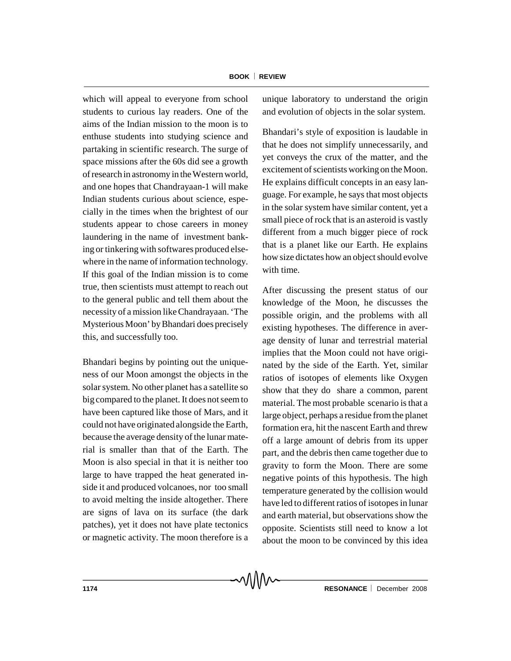√∖\/\∧

which will appeal to everyone from school students to curious lay readers. One of the aims of the Indian mission to the moon is to enthuse students into studying science and partaking in scientific research. The surge of space missions after the 60s did see a growth of research in astronomy in the Western world, and one hopes that Chandrayaan-1 will make Indian students curious about science, especially in the times when the brightest of our students appear to chose careers in money laundering in the name of investment banking or tinkering with softwares produced elsewhere in the name of information technology. If this goal of the Indian mission is to come true, then scientists must attempt to reach out to the general public and tell them about the necessity of a mission like Chandrayaan. 'The Mysterious Moon' byBhandari does precisely this, and successfully too.

Bhandari begins by pointing out the uniqueness of our Moon amongst the objects in the solar system. No other planet has a satellite so big compared to the planet. It does not seem to have been captured like those of Mars, and it could not have originated alongside the Earth, because the average density of the lunar material is smaller than that of the Earth. The Moon is also special in that it is neither too large to have trapped the heat generated inside it and produced volcanoes, nor too small to avoid melting the inside altogether. There are signs of lava on its surface (the dark patches), yet it does not have plate tectonics or magnetic activity. The moon therefore is a unique laboratory to understand the origin and evolution of objects in the solar system.

Bhandari's style of exposition is laudable in that he does not simplify unnecessarily, and yet conveys the crux of the matter, and the excitement of scientists working on the Moon. He explains difficult concepts in an easy language. For example, he says that most objects in the solar system have similar content, yet a small piece of rock that is an asteroid is vastly different from a much bigger piece of rock that is a planet like our Earth. He explains how size dictates how an object should evolve with time.

After discussing the present status of our knowledge of the Moon, he discusses the possible origin, and the problems with all existing hypotheses. The difference in average density of lunar and terrestrial material implies that the Moon could not have originated by the side of the Earth. Yet, similar ratios of isotopes of elements like Oxygen show that they do share a common, parent material. The most probable scenario is that a large object, perhaps a residue from the planet formation era, hit the nascent Earth and threw off a large amount of debris from its upper part, and the debris then came together due to gravity to form the Moon. There are some negative points of this hypothesis. The high temperature generated by the collision would have led to different ratios of isotopes in lunar and earth material, but observations show the opposite. Scientists still need to know a lot about the moon to be convinced by this idea